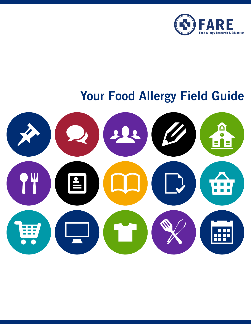

# Your Food Allergy Field Guide

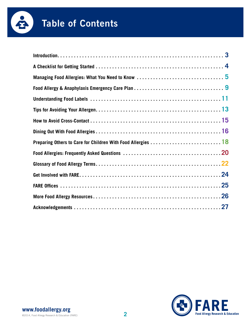

# Table of Contents

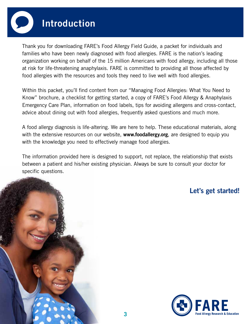Introduction

Thank you for downloading FARE's Food Allergy Field Guide, a packet for individuals and families who have been newly diagnosed with food allergies. FARE is the nation's leading organization working on behalf of the 15 million Americans with food allergy, including all those at risk for life-threatening anaphylaxis. FARE is committed to providing all those affected by food allergies with the resources and tools they need to live well with food allergies.

Within this packet, you'll find content from our "Managing Food Allergies: What You Need to Know" brochure, a checklist for getting started, a copy of FARE's Food Allergy & Anaphylaxis Emergency Care Plan, information on food labels, tips for avoiding allergens and cross-contact, advice about dining out with food allergies, frequently asked questions and much more.

A food allergy diagnosis is life-altering. We are here to help. These educational materials, along with the extensive resources on our website, www.foodallergy.org, are designed to equip you with the knowledge you need to effectively manage food allergies.

The information provided here is designed to support, not replace, the relationship that exists between a patient and his/her existing physician. Always be sure to consult your doctor for specific questions.

Let's get started!



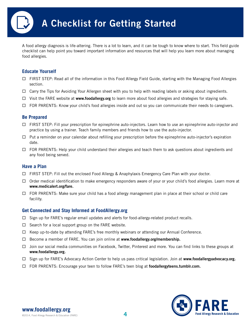

A food allergy diagnosis is life-altering. There is a lot to learn, and it can be tough to know where to start. This field guide checklist can help point you toward important information and resources that will help you learn more about managing food allergies.

#### **Educate Yourself**

- $\Box$  FIRST STEP: Read all of the information in this Food Allergy Field Guide, starting with the Managing Food Allergies section.
- $\Box$  Carry the Tips for Avoiding Your Allergen sheet with you to help with reading labels or asking about ingredients.
- $\Box$  Visit the FARE website at www.foodallergy.org to learn more about food allergies and strategies for staying safe.
- $\Box$  FOR PARENTS: Know your child's food allergies inside and out so you can communicate their needs to caregivers.

#### **Be Prepared**

- $\Box$  FIRST STEP: Fill your prescription for epinephrine auto-injectors. Learn how to use an epinephrine auto-injector and practice by using a trainer. Teach family members and friends how to use the auto-injector.
- $\Box$  Put a reminder on your calendar about refilling your prescription before the epinephrine auto-injector's expiration date.
- $\Box$  FOR PARENTS: Help your child understand their allergies and teach them to ask questions about ingredients and any food being served.

#### **Have a Plan**

- ¨ FIRST STEP: Fill out the enclosed Food Allergy & Anaphylaxis Emergency Care Plan with your doctor.
- $\Box$  Order medical identification to make emergency responders aware of your or your child's food allergies. Learn more at www.medicalert.org/fare.
- $\Box$  FOR PARENTS: Make sure your child has a food allergy management plan in place at their school or child care facility.

#### **Get Connected and Stay Informed at FoodAllergy.org**

- $\Box$  Sign up for FARE's regular email updates and alerts for food-allergy-related product recalls.
- $\Box$  Search for a local support group on the FARE website.
- $\Box$  Keep up-to-date by attending FARE's free monthly webinars or attending our Annual Conference.
- $\Box$  Become a member of FARE. You can join online at www.foodallergy.org/membership.
- ¨ Join our social media communities on Facebook, Twitter, Pinterest and more. You can find links to these groups at www.foodallergy.org.
- $\Box$  Sign up for FARE's Advocacy Action Center to help us pass critical legislation. Join at www.foodallergyadvocacy.org.
- $\Box$  FOR PARENTS: Encourage your teen to follow FARE's teen blog at **foodallergyteens.tumblr.com.**

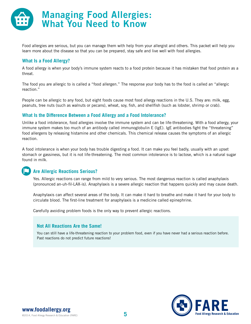

## Managing Food Allergies: What You Need to Know

Food allergies are serious, but you can manage them with help from your allergist and others. This packet will help you learn more about the disease so that you can be prepared, stay safe and live well with food allergies.

#### **What Is a Food Allergy?**

A food allergy is when your body's immune system reacts to a food protein because it has mistaken that food protein as a threat.

The food you are allergic to is called a "food allergen." The response your body has to the food is called an "allergic reaction."

People can be allergic to any food, but eight foods cause most food allergy reactions in the U.S. They are: milk, egg, peanuts, tree nuts (such as walnuts or pecans), wheat, soy, fish, and shellfish (such as lobster, shrimp or crab).

#### **What Is the Difference Between a Food Allergy and a Food Intolerance?**

Unlike a food intolerance, food allergies involve the immune system and can be life-threatening. With a food allergy, your immune system makes too much of an antibody called immunoglobulin E (IgE). IgE antibodies fight the "threatening" food allergens by releasing histamine and other chemicals. This chemical release causes the symptoms of an allergic reaction.

A food intolerance is when your body has trouble digesting a food. It can make you feel badly, usually with an upset stomach or gassiness, but it is not life-threatening. The most common intolerance is to lactose, which is a natural sugar found in milk.

#### **Are Allergic Reactions Serious?**

Yes. Allergic reactions can range from mild to very serious. The most dangerous reaction is called anaphylaxis (pronounced an-uh-fil-LAX-is). Anaphylaxis is a severe allergic reaction that happens quickly and may cause death.

Anaphylaxis can affect several areas of the body. It can make it hard to breathe and make it hard for your body to circulate blood. The first-line treatment for anaphylaxis is a medicine called epinephrine.

Carefully avoiding problem foods is the only way to prevent allergic reactions.

#### **Not All Reactions Are the Same!**

You can still have a life-threatening reaction to your problem food, even if you have never had a serious reaction before. Past reactions do not predict future reactions!



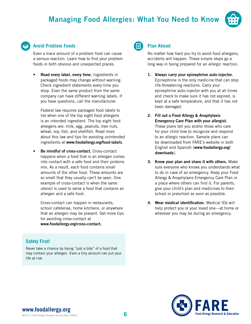## Managing Food Allergies: What You Need to Know



#### **Avoid Problem Foods**

Even a trace amount of a problem food can cause a serious reaction. Learn how to find your problem foods in both obvious and unexpected places.

Read every label, every time. Ingredients in packaged foods may change without warning. Check ingredient statements every time you shop. Even the same product from the same company can have different warning labels. If you have questions, call the manufacturer.

Federal law requires packaged food labels to list when one of the top eight food allergens is an intended ingredient. The top eight food allergens are: milk, egg, peanuts, tree nuts, wheat, soy, fish, and shellfish. Read more about this law and tips for avoiding unintended ingredients at www.foodallergy.org/food-labels.

Be mindful of cross-contact. Cross-contact happens when a food that is an allergen comes into contact with a safe food and their proteins mix. As a result, each food contains small amounts of the other food. These amounts are so small that they usually can't be seen. One example of cross-contact is when the same utensil is used to serve a food that contains an allergen and a safe food.

Cross-contact can happen in restaurants, school cafeterias, home kitchens, or anywhere that an allergen may be present. Get more tips for avoiding cross-contact at www.foodallergy.org/cross-contact.

#### **Safety First!**

Never take a chance by trying "just a bite" of a food that may contain your allergen. Even a tiny amount can put your life at risk.



#### **Plan Ahead**

No matter how hard you try to avoid food allergens, accidents will happen. These simple steps go a long way in being prepared for an allergic reaction.

- 1. Always carry your epinephrine auto-injector. Epinephrine is the only medicine that can stop life-threatening reactions. Carry your epinephrine auto-injector with you at all times and check to make sure it has not expired, is kept at a safe temperature, and that it has not been damaged.
- 2. Fill out a Food Allergy & Anaphylaxis Emergency Care Plan with your allergist. These plans tell you and/or those who care for your child how to recognize and respond to an allergic reaction. Sample plans can be downloaded from FARE's website in both English and Spanish (www.foodallergy.org/ downloads).
- 3. Know your plan and share it with others. Make sure everyone who knows you understands what to do in case of an emergency. Keep your Food Allergy & Anaphylaxis Emergency Care Plan in a place where others can find it. For parents, give your child's plan and medicines to their school or preschool as soon as possible.
- 4. Wear medical identification. Medical IDs will help protect you or your loved one—at home or wherever you may be during an emergency.

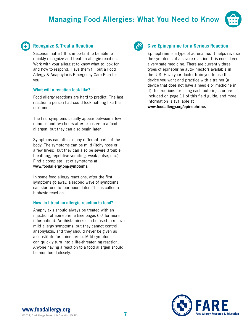## Managing Food Allergies: What You Need to Know



#### **Recognize & Treat a Reaction**

Seconds matter! It is important to be able to quickly recognize and treat an allergic reaction. Work with your allergist to know what to look for and how to respond. Have them fill out a Food Allergy & Anaphylaxis Emergency Care Plan for you.

#### **What will a reaction look like?**

Food allergy reactions are hard to predict. The last reaction a person had could look nothing like the next one.

The first symptoms usually appear between a few minutes and two hours after exposure to a food allergen, but they can also begin later.

Symptoms can affect many different parts of the body. The symptoms can be mild (itchy nose or a few hives), but they can also be severe (trouble breathing, repetitive vomiting, weak pulse, etc.). Find a complete list of symptoms at www.foodallergy.org/symptoms.

In some food allergy reactions, after the first symptoms go away, a second wave of symptoms can start one to four hours later. This is called a biphasic reaction.

#### **How do I treat an allergic reaction to food?**

Anaphylaxis should always be treated with an injection of epinephrine (see pages 6-7 for more information). Antihistamines can be used to relieve mild allergy symptoms, but they cannot control anaphylaxis, and they should never be given as a substitute for epinephrine. Mild symptoms can quickly turn into a life-threatening reaction. Anyone having a reaction to a food allergen should be monitored closely.



#### **Give Epinephrine for a Serious Reaction**

Epinephrine is a type of adrenaline. It helps reverse the symptoms of a severe reaction. It is considered a very safe medicine. There are currently three types of epinephrine auto-injectors available in the U.S. Have your doctor train you to use the device you want and practice with a trainer (a device that does not have a needle or medicine in it). Instructions for using each auto-injector are included on page 11 of this field guide, and more information is available at

www.foodallergy.org/epinephrine.

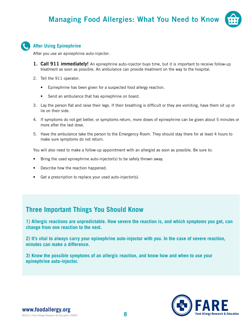## Managing Food Allergies: What You Need to Know



#### **After Using Epinephrine**

After you use an epinephrine auto-injector:

- **1. Call 911 immediately!** An epinephrine auto-injector buys time, but it is important to receive follow-up treatment as soon as possible. An ambulance can provide treatment on the way to the hospital.
- 2. Tell the 911 operator:
	- Epinephrine has been given for a suspected food allergy reaction.
	- Send an ambulance that has epinephrine on board.
- 3. Lay the person flat and raise their legs. If their breathing is difficult or they are vomiting, have them sit up or lie on their side.
- 4. If symptoms do not get better, or symptoms return, more doses of epinephrine can be given about 5 minutes or more after the last dose.
- 5. Have the ambulance take the person to the Emergency Room. They should stay there for at least 4 hours to make sure symptoms do not return.

You will also need to make a follow-up appointment with an allergist as soon as possible. Be sure to:

- Bring the used epinephrine auto-injector(s) to be safely thrown away.
- Describe how the reaction happened.
- Get a prescription to replace your used auto-injector(s).

## **Three Important Things You Should Know**

**1) Allergic reactions are unpredictable. How severe the reaction is, and which symptoms you get, can change from one reaction to the next.**

**2) It's vital to always carry your epinephrine auto-injector with you. In the case of severe reaction, minutes can make a difference.**

**3) Know the possible symptoms of an allergic reaction, and know how and when to use your epinephrine auto-injector.**

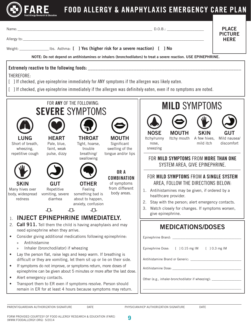

## **FOOD ALLERGY & ANAPHYLAXIS EMERGENCY CARE PLAN**

Name: \_\_\_\_\_\_\_\_\_\_\_\_\_\_\_\_\_\_\_\_\_\_\_\_\_\_\_\_\_\_\_\_\_\_\_\_\_\_\_\_\_\_\_\_\_\_\_\_\_\_\_\_\_\_\_\_\_\_\_\_\_\_\_\_\_\_\_\_\_\_\_\_\_ D.O.B.: \_\_\_\_\_\_\_\_\_\_\_\_\_\_\_\_\_\_\_\_

PLACE PICTURE **HFRF** 

Weight: University Libs. Asthma: [ ] Yes (higher risk for a severe reaction) [ ] No

Allergy to:\_\_\_\_\_\_\_\_\_\_\_\_\_\_\_\_\_\_\_\_\_\_\_\_\_\_\_\_\_\_\_\_\_\_\_\_\_\_\_\_\_\_\_\_\_\_\_\_\_\_\_\_\_\_\_\_\_\_\_\_\_\_\_\_\_\_\_\_\_\_\_\_\_\_\_\_\_\_\_\_\_\_\_\_\_\_\_\_\_\_\_\_\_\_\_\_\_\_

NOTE: Do not depend on antihistamines or inhalers (bronchodilators) to treat a severe reaction. USE EPINEPHRINE.

#### Extremely reactive to the following foods:

THEREFORE:

- [ ] If checked, give epinephrine immediately for ANY symptoms if the allergen was likely eaten.
- [ ] If checked, give epinephrine immediately if the allergen was definitely eaten, even if no symptoms are noted.



**9**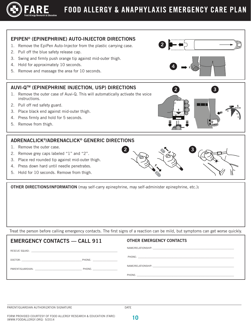

2

2

4

#### EPIPEN® (EPINEPHRINE) AUTO-INJECTOR DIRECTIONS

- 1. Remove the EpiPen Auto-Injector from the plastic carrying case.
- 2. Pull off the blue safety release cap.
- 3. Swing and firmly push orange tip against mid-outer thigh.
- 4. Hold for approximately 10 seconds.
- 5. Remove and massage the area for 10 seconds.

#### AUVI-QTM (EPINEPHRINE INJECTION, USP) DIRECTIONS

- 1. Remove the outer case of Auvi-Q. This will automatically activate the voice instructions.
- 2. Pull off red safety guard.
- 3. Place black end against mid-outer thigh.
- 4. Press firmly and hold for 5 seconds.
- 5. Remove from thigh.

#### ADRENACLICK®/ADRENACLICK® GENERIC DIRECTIONS

- 1. Remove the outer case.
- 2. Remove grey caps labeled "1" and "2".
- 3. Place red rounded tip against mid-outer thigh.
- 4. Press down hard until needle penetrates.
- 5. Hold for 10 seconds. Remove from thigh.





3

OTHER DIRECTIONS/INFORMATION (may self-carry epinephrine, may self-administer epinephrine, etc.):

Treat the person before calling emergency contacts. The first signs of a reaction can be mild, but symptoms can get worse quickly.

| <b>EMERGENCY CONTACTS — CALL 911</b>                                                                                                                                                                                          | <b>OTHER EMERGENCY CONTACTS</b> |
|-------------------------------------------------------------------------------------------------------------------------------------------------------------------------------------------------------------------------------|---------------------------------|
|                                                                                                                                                                                                                               |                                 |
| DOCTOR: PHONE:                                                                                                                                                                                                                |                                 |
| PARENT/GUARDIAN: The contract of the contract of the contract of the contract of the contract of the contract of the contract of the contract of the contract of the contract of the contract of the contract of the contract |                                 |
|                                                                                                                                                                                                                               |                                 |

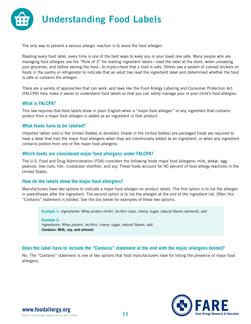

The only way to prevent a serious allergic reaction is to avoid the food allergen.

Reading every food label, every time is one of the best ways to keep you or your loved one safe. Many people who are managing food allergies use the "Rule of 3" for reading ingredient labels—read the label at the store, when unloading your groceries, and before serving the food—to triple-check that a food is safe. Others use a system of colored stickers on foods in the pantry or refrigerator to indicate that an adult has read the ingredient label and determined whether the food is safe or contains the allergen.

There are a variety of approaches that can work, and laws like the Food Allergy Labeling and Consumer Protection Act (FALCPA) help make it easier to understand food labels so that you can safely manage your or your child's food allergies.

#### **What is FALCPA?**

This law requires that food labels show in plain English when a "major food allergen" or any ingredient that contains protein from a major food allergen is added as an ingredient in that product.

#### **What foods have to be labeled?**

Imported (when sold in the United States) or domestic (made in the United States) pre-packaged foods are required to have a label that lists the major food allergens when they are intentionally added as an ingredient, or when any ingredient contains protein from one of the major food allergens.

#### **Which foods are considered major food allergens under FALCPA?**

The U.S. Food and Drug Administration (FDA) considers the following foods major food allergens: milk, wheat, egg, peanuts, tree nuts, fish, crustacean shellfish, and soy. These foods account for 90 percent of food allergy reactions in the United States.

#### **How do the labels show the major food allergens?**

Manufacturers have two options to indicate a major food allergen on product labels. The first option is to list the allergen in parentheses after the ingredient. The second option is to list the allergen at the end of the ingredient list. Often this "Contains" statement is bolded. See the box below for examples of these two options.

Example 1: *Ingredients: Whey protein (milk), lecithin (soy), cherry, sugar, natural flavors (almond), salt.*

Example 2: *Ingredients: Whey protein, lecithin, cherry, sugar, natural flavors, salt. Contains: Milk, soy, and almond.*

#### **Does the label have to include the "Contains" statement at the end with the major allergens bolded?**

No. The "Contains" statement is one of two options that food manufacturers have for listing the presence of major food allergens.

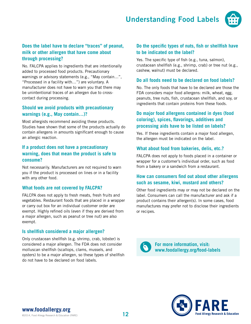## Understanding Food Labels



#### **Does the label have to declare "traces" of peanut, milk or other allergen that have come about through processing?**

No. FALCPA applies to ingredients that are intentionally added to processed food products. Precautionary warnings or advisory statements (e.g., "May contain…", "Processed in a facility with…") are voluntary. A manufacturer does not have to warn you that there may be unintentional traces of an allergen due to crosscontact during processing.

#### **Should we avoid products with precautionary warnings (e.g., May contain…)?**

Most allergists recommend avoiding these products. Studies have shown that some of the products actually do contain allergens in amounts significant enough to cause an allergic reaction.

#### **If a product does not have a precautionary warning, does that mean the product is safe to consume?**

Not necessarily. Manufacturers are not required to warn you if the product is processed on lines or in a facility with any other food.

#### **What foods are not covered by FALCPA?**

FALCPA does not apply to fresh meats, fresh fruits and vegetables. Restaurant foods that are placed in a wrapper or carry out box for an individual customer order are exempt. Highly refined oils (even if they are derived from a major allergen, such as peanut or tree nut) are also exempt.

#### **Is shellfish considered a major allergen?**

Only crustacean shellfish (e.g. shrimp, crab, lobster) is considered a major allergen. The FDA does not consider molluscan shellfish (scallops, clams, mussels, and oysters) to be a major allergen, so these types of shellfish do not have to be declared on food labels.

#### **Do the specific types of nuts, fish or shellfish have to be indicated on the label?**

Yes. The specific type of fish (e.g., tuna, salmon), crustacean shellfish (e.g., shrimp, crab) or tree nut (e.g., cashew, walnut) must be declared.

#### **Do all foods need to be declared on food labels?**

No. The only foods that have to be declared are those the FDA considers major food allergens: milk, wheat, egg, peanuts, tree nuts, fish, crustacean shellfish, and soy, or ingredients that contain proteins from these foods.

#### **Do major food allergens contained in dyes (food coloring), spices, flavorings, additives and processing aids have to be listed on labels?**

Yes. If these ingredients contain a major food allergen, the allergen must be indicated on the label.

#### **What about food from bakeries, delis, etc.?**

FALCPA does not apply to foods placed in a container or wrapper for a customer's individual order, such as food from a bakery or a sandwich from a restaurant.

#### **How can consumers find out about other allergens such as sesame, kiwi, mustard and others?**

Other food ingredients may or may not be declared on the label. Consumers can call the manufacturer and ask if a product contains their allergen(s). In some cases, food manufactures may prefer not to disclose their ingredients or recipes.

**For more information, visit: www.foodallergy.org/food-labels**

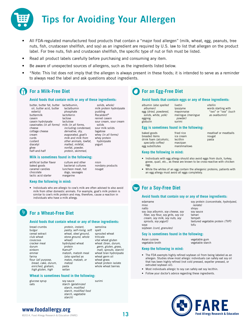Tips for Avoiding Your Allergen

- All FDA-regulated manufactured food products that contain a "major food allergen" (milk, wheat, egg, peanuts, tree nuts, fish, crustacean shellfish, and soy) as an ingredient are required by U.S. law to list that allergen on the product label. For tree nuts, fish and crustacean shellfish, the specific type of nut or fish must be listed.
- Read all product labels carefully before purchasing and consuming any item.
- Be aware of unexpected sources of allergens, such as the ingredients listed below.

*solids, whole)* milk protein hydrolysate

pudding Recaldent® rennet casein sour cream, sour cream

solids sour milk solids tagatose whey *(in all forms)* whey protein hydrolysate yogurt

• \*Note: This list does not imply that the allergen is always present in these foods; it is intended to serve as a reminder to always read the label and ask questions about ingredients.

## **For a Milk-Free Diet**

#### **Avoid foods that contain milk or any of these ingredients:**

butter, butter fat, butter lactalbumin, oil, butter acid, butter ester(s) buttermilk casein casein hydrolysate caseinates *(in all forms)* cheese cottage cheese cream curds custard diacetyl ghee half-and-half

lactalbumin nhosphate lactoferrin lactose lactulose milk *(in all forms, including condensed, derivative, dry, evaporated, goat's milk and milk from other animals, lowfat, malted, milkfat, nonfat, powder, protein, skimmed,* 

#### **Milk is sometimes found in the following:**

artificial butter flavor baked goods caramel candies chocolate lactic acid starter

culture and other bacterial cultures luncheon meat, hot dogs, sausages

margarine

nisin nondairy products nougat

#### **Keep the following in mind:**

• Individuals who are allergic to cow's milk are often advised to also avoid milk from other domestic animals. For example, goat's milk protein is similar to cow's milk protein and may, therefore, cause a reaction in individuals who have a milk allergy.

#### **For a Wheat-Free Diet**

#### **Avoid foods that contain wheat or any of these ingredients:**

bread crumbs bulgur cereal extract club wheat couscous cracker meal durum einkorn emmer farina flour *(all purpose, bread, cake, durum, enriched, graham, high gluten, high* 

*protein, instant, pastry, self-rising, soft wheat, steel ground, stone ground, whole wheat)* hydrolyzed wheat protein Kamut® matzoh, matzoh meal *(also spelled as matzo, matzah, or matza)* pasta seitan

spelt sprouted wheat triticale vital wheat gluten wheat *(bran, durum, germ, gluten, grass, malt, sprouts, starch)* wheat bran hydrolysate wheat germ oil wheat grass wheat protein isolate whole wheat berries

semolina

#### **Wheat is sometimes found in the following:**

glucose syrup oats

soy sauce starch *(gelatinized starch, modified starch, modified food starch, vegetable starch)* surimi

## **For an Egg-Free Diet**

#### **Avoid foods that contain eggs or any of these ingredients:**

albumin *(also spelled albumen)* egg *(dried, powdered, solids, white, yolk)* eggnog globulin

livetin lysozyme mayonnaise meringue *(meringue powder)* surimi

vitellin words starting with "ovo" or "ova" *(such as ovalbumin)*

#### **Egg is sometimes found in the following:**

baked goods breaded items drink foam *(alcoholic, specialty coffee)* egg substitutes

fried rice ice cream lecithin marzipan marshmallows meatloaf or meatballs nougat pasta

#### **Keep the following in mind:**

- Individuals with egg allergy should also avoid eggs from duck, turkey, goose, quail, etc., as these are known to be cross-reactive with chicken egg.
- While the whites of an egg contain the allergenic proteins, patients with an egg allergy must avoid all eggs completely.

## **For a Soy-Free Diet**

#### **Avoid foods that contain soy or any of these ingredients:**

edamame miso natto soy *(soy albumin, soy cheese, soy fiber, soy flour, soy grits, soy ice cream, soy milk, soy nuts, soy sprouts, soy yogurt)*

soy protein *(concentrate, hydrolyzed, isolate)* shoyu soy sauce tamari tempeh textured vegetable protein *(TVP)*

soya soybean *(curd, granules)*

#### **Soy is sometimes found in the following:**

Asian cuisine vegetable broth

#### **Keep the following in mind:**

- The FDA exempts highly refined soybean oil from being labeled as an allergen. Studies show most allergic individuals can safely eat soy oil that has been highly refined (not cold pressed, expeller pressed, or extruded soybean oil).
- Most individuals allergic to soy can safely eat soy lecithin.
- Follow your doctor's advice regarding these ingredients.



## **www.foodallergy.org <sup>13</sup>**

tofu

vegetable gum vegetable starch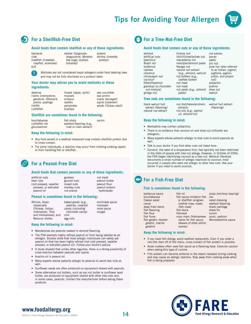## Tips for Avoiding Your Allergen



#### **For a Shellfish-Free Diet**

#### **Avoid foods that contain shellfish or any of these ingredients:**

barnacle crab crawfish *(crawdad, crayfish, ecrevisse)* krill

lobster *(langouste, langoustine, Moreton bay bugs, scampi, tomalley)* prawns shrimp *(crevette, scampi)*

*Mollusks are not considered major allergens* under food labeling laws and may not be fully disclosed on a product label.

#### **Your doctor may advise you to avoid mollusks or these ingredients:**

| abalone              | limpet (lapas, opihi) | sea cucumber         |
|----------------------|-----------------------|----------------------|
| clams (cherrystone,  | mussels               | sea urchin           |
| geoduck, littleneck, | octopus               | snails (escargot)    |
| pismo, quahog)       | oysters               | squid (calamari)     |
| cockle               | periwinkle            | whelk (Turban shell) |
| cuttlefish           | scallops              |                      |

#### **Shellfish are sometimes found in the following:**  fish stock

bouillabaisse cuttlefish ink glucosamine

seafood flavoring (e.g., *crab or clam extract)*

surimi

#### **Keep the following in mind:**

- Any food served in a seafood restaurant may contain shellfish protein due to cross-contact.
- For some individuals, a reaction may occur from inhaling cooking vapors or from handling fish or shellfish.

#### **For a Peanut-Free Diet**

#### **Avoid foods that contain peanuts or any of these ingredients:**

| artificial nuts        |
|------------------------|
| beer nuts              |
| cold pressed, expeller |
| pressed, or extruded   |
| peanut oil             |

goobers ground nuts mixed nuts monkey nuts nut pieces

nut meat peanut butter peanut flour peanut protein hydrolysate

#### **Peanut is sometimes found in the following:**

African, Asian *(especially Chinese, Indian, Indonesian, Thai, and Vietnamese)*, and Mexican dishes

baked goods *(e.g., pastries, cookies)* candy *(including chocolate candy)* chili egg rolls

enchilada sauce marzipan mole sauce nougat

#### **Keep the following in mind:**

- Mandelonas are peanuts soaked in almond flavoring.
- The FDA exempts highly refined peanut oil from being labeled as an allergen. Studies show that most allergic individuals can safely eat peanut oil that has been highly refined (not cold pressed, expeller pressed, or extruded peanut oil). Follow your doctor's advice.
- A study showed that unlike other legumes, there is a strong possibility of cross-reaction between peanuts and lupine.
- Arachis oil is peanut oil.
- Many experts advise patients allergic to peanuts to avoid tree nuts as well.
- Sunflower seeds are often produced on equipment shared with peanuts.
- Some alternative nut butters, such as soy nut butter or sunflower seed butter, are produced on equipment shared with other tree nuts and, in some cases, peanuts. Contact the manufacturer before eating these products.

#### **For a Tree-Nut-Free Diet**

#### **Avoid foods that contain nuts or any of these ingredients:**

almond artificial nuts beechnut Brazil nut butternut cashew chestnut chinquapin nut coconut\* filbert/hazelnut gianduja *(a chocolatenut mixture)* ginkgo nut hickory nut litchi/lichee/lychee nut macadamia nut marzipan/almond paste Nangai nut natural nut extract *(e.g., almond, walnut)* nut butters *(e.g., cashew butter)* nut meal nut meat nut paste *(e.g., almond paste)* pesto

nut pieces pecan pili nut pine nut *(also referred to as Indian, pignoli, pigñolia, pignon, piñon, and pinyon nut)* pistachio praline shea nut walnut

#### **Tree nuts are sometimes found in the following:**

black walnut hull extract *(flavoring)* natural nut extract nut distillates/alcoholic extracts nut oils *(e.g., walnut* 

walnut hull extract *(flavoring)*

#### **Keep the following in mind:**

- Mortadella may contain pistachios.
- There is no evidence that coconut oil and shea nut oil/butter are allergenic.

*oil, almond oil)*

- Many experts advise patients allergic to tree nuts to avoid peanuts as well.
- Talk to your doctor if you find other nuts not listed here.
- Coconut, the seed of a drupaceous fruit, has typically not been restricted in the diets of people with tree nut allergy. However, in October of 2006, the FDA began identifying coconut as a tree nut. Medical literature documents a small number of allergic reactions to coconut; most occurred in people who were not allergic to other tree nuts. Ask your doctor if you need to avoid coconut.

#### **For a Fish-Free Diet**

#### **Fish is sometimes found in the following:**

fish oil

barbecue sauce bouillabaisse Caesar salad caviar deep fried items fish flavoring fish flour fish fume fish gelatin *(kosher gelatin, marine gelatin)*

fish sauce imitation fish or shellfish isinglass lutefisk maw, maws *(fish maw)* fish stock fishmeal nuoc mam *(Vietnamese name for fish sauce; beware of other ethnic names)*

pizza *(anchovy topping)* roe salad dressing seafood flavoring shark cartilage shark fin surimi sushi, sashimi Worcestershire sauce

#### **Keep the following in mind:**

- If you have fish allergy, avoid seafood restaurants. Even if you order a non-fish item off of the menu, cross-contact of fish protein is possible.
- Asian cookery often uses fish sauce as a flavoring base. Exercise caution when eating this type of cuisine.
- Fish protein can become airborne in the steam released during cooking and may cause an allergic reaction. Stay away from cooking areas when fish is being prepared.

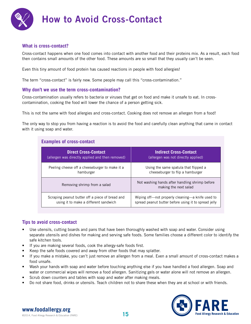

# How to Avoid Cross-Contact

#### **What is cross-contact?**

Cross-contact happens when one food comes into contact with another food and their proteins mix. As a result, each food then contains small amounts of the other food. These amounts are so small that they usually can't be seen.

Even this tiny amount of food protein has caused reactions in people with food allergies!

The term "cross-contact" is fairly new. Some people may call this "cross-contamination."

#### **Why don't we use the term cross-contamination?**

Cross-contamination usually refers to bacteria or viruses that get on food and make it unsafe to eat. In crosscontamination, cooking the food will lower the chance of a person getting sick.

This is not the same with food allergies and cross-contact. Cooking does not remove an allergen from a food!

The only way to stop you from having a reaction is to avoid the food and carefully clean anything that came in contact with it using soap and water.

#### **Examples of cross-contact**

| <b>Direct Cross-Contact</b>                      | <b>Indirect Cross-Contact</b>                                           |
|--------------------------------------------------|-------------------------------------------------------------------------|
| (allergen was directly applied and then removed) | (allergen was not directly applied)                                     |
| Peeling cheese off a cheeseburger to make it a   | Using the same spatula that flipped a                                   |
| hamburger                                        | cheeseburger to flip a hamburger                                        |
| Removing shrimp from a salad                     | Not washing hands after handling shrimp before<br>making the next salad |
| Scraping peanut butter off a piece of bread and  | Wiping off-not properly cleaning-a knife used to                        |
| using it to make a different sandwich            | spread peanut butter before using it to spread jelly                    |

#### **Tips to avoid cross-contact**

- Use utensils, cutting boards and pans that have been thoroughly washed with soap and water. Consider using separate utensils and dishes for making and serving safe foods. Some families choose a different color to identify the safe kitchen tools.
- If you are making several foods, cook the allergy-safe foods first.
- Keep the safe foods covered and away from other foods that may splatter.
- If you make a mistake, you can't just remove an allergen from a meal. Even a small amount of cross-contact makes a food unsafe.
- Wash your hands with soap and water before touching anything else if you have handled a food allergen. Soap and water or commercial wipes will remove a food allergen. Sanitizing gels or water alone will not remove an allergen.
- Scrub down counters and tables with soap and water after making meals.
- Do not share food, drinks or utensils. Teach children not to share these when they are at school or with friends.

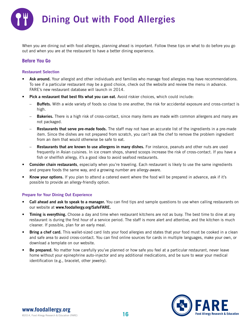Dining Out with Food Allergies

When you are dining out with food allergies, planning ahead is important. Follow these tips on what to do before you go out and when you are at the restaurant to have a better dining experience.

#### **Before You Go**

#### Restaurant Selection

- Ask around. Your allergist and other individuals and families who manage food allergies may have recommendations. To see if a particular restaurant may be a good choice, check out the website and review the menu in advance. FARE's new restaurant database will launch in 2014.
- Pick a restaurant that best fits what you can eat. Avoid riskier choices, which could include:
	- Buffets. With a wide variety of foods so close to one another, the risk for accidental exposure and cross-contact is high.
	- **Bakeries.** There is a high risk of cross-contact, since many items are made with common allergens and many are not packaged.
	- Restaurants that serve pre-made foods. The staff may not have an accurate list of the ingredients in a pre-made item. Since the dishes are not prepared from scratch, you can't ask the chef to remove the problem ingredient from an item that would otherwise be safe to eat.
	- Restaurants that are known to use allergens in many dishes. For instance, peanuts and other nuts are used frequently in Asian cuisines. In ice cream shops, shared scoops increase the risk of cross-contact. If you have a fish or shellfish allergy, it's a good idea to avoid seafood restaurants.
- Consider chain restaurants, especially when you're traveling. Each restaurant is likely to use the same ingredients and prepare foods the same way, and a growing number are allergy-aware.
- Know your options. If you plan to attend a catered event where the food will be prepared in advance, ask if it's possible to provide an allergy-friendly option.

#### Prepare for Your Dining Out Experience

- Call ahead and ask to speak to a manager. You can find tips and sample questions to use when calling restaurants on our website at www.foodallergy.org/SafeFARE.
- Timing is everything. Choose a day and time when restaurant kitchens are not as busy. The best time to dine at any restaurant is during the first hour of a service period. The staff is more alert and attentive, and the kitchen is much cleaner. If possible, plan for an early meal.
- Bring a chef card. This wallet-sized card lists your food allergies and states that your food must be cooked in a clean and safe area to avoid cross-contact. You can find online sources for cards in multiple languages, make your own, or download a template on our website.
- Be prepared. No matter how carefully you've planned or how safe you feel at a particular restaurant, never leave home without your epinephrine auto-injector and any additional medications, and be sure to wear your medical identification (e.g., bracelet, other jewelry).

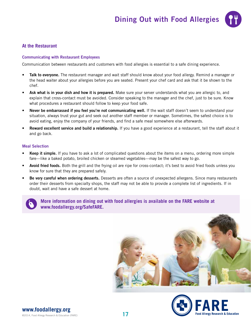

#### **At the Restaurant**

#### Communicating with Restaurant Employees

Communication between restaurants and customers with food allergies is essential to a safe dining experience.

- Talk to everyone. The restaurant manager and wait staff should know about your food allergy. Remind a manager or the head waiter about your allergies before you are seated. Present your chef card and ask that it be shown to the chef.
- Ask what is in your dish and how it is prepared. Make sure your server understands what you are allergic to, and explain that cross-contact must be avoided. Consider speaking to the manager and the chef, just to be sure. Know what procedures a restaurant should follow to keep your food safe.
- Never be embarrassed if you feel you're not communicating well. If the wait staff doesn't seem to understand your situation, always trust your gut and seek out another staff member or manager. Sometimes, the safest choice is to avoid eating, enjoy the company of your friends, and find a safe meal somewhere else afterwards.
- Reward excellent service and build a relationship. If you have a good experience at a restaurant, tell the staff about it and go back.

#### Meal Selection

- Keep it simple. If you have to ask a lot of complicated questions about the items on a menu, ordering more simple fare—like a baked potato, broiled chicken or steamed vegetables—may be the safest way to go.
- Avoid fried foods. Both the grill and the frying oil are ripe for cross-contact; it's best to avoid fried foods unless you know for sure that they are prepared safely.
- Be very careful when ordering desserts. Desserts are often a source of unexpected allergens. Since many restaurants order their desserts from specialty shops, the staff may not be able to provide a complete list of ingredients. If in doubt, wait and have a safe dessert at home.



**More information on dining out with food allergies is available on the FARE website at www.foodallergy.org/SafeFARE.**



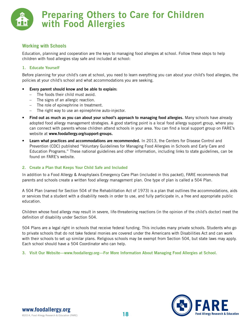

## Preparing Others to Care for Children with Food Allergies

#### **Working with Schools**

Education, planning and cooperation are the keys to managing food allergies at school. Follow these steps to help children with food allergies stay safe and included at school:

#### 1. Educate Yourself

Before planning for your child's care at school, you need to learn everything you can about your child's food allergies, the policies at your child's school and what accommodations you are seeking.

#### Every parent should know and be able to explain:

- The foods their child must avoid.
- The signs of an allergic reaction.
- The role of epinephrine in treatment.
- The right way to use an epinephrine auto-injector.
- Find out as much as you can about your school's approach to managing food allergies. Many schools have already adopted food allergy management strategies. A good starting point is a local food allergy support group, where you can connect with parents whose children attend schools in your area. You can find a local support group on FARE's website at www.foodallergy.org/support-groups.
- Learn what practices and accommodations are recommended. In 2013, the Centers for Disease Control and Prevention (CDC) published "Voluntary Guidelines for Managing Food Allergies in Schools and Early Care and Education Programs." These national guidelines and other information, including links to state guidelines, can be found on FARE's website.

#### 2. Create a Plan that Keeps Your Child Safe and Included

In addition to a Food Allergy & Anaphylaxis Emergency Care Plan (included in this packet), FARE recommends that parents and schools create a written food allergy management plan. One type of plan is called a 504 Plan.

A 504 Plan (named for Section 504 of the Rehabilitation Act of 1973) is a plan that outlines the accommodations, aids or services that a student with a disability needs in order to use, and fully participate in, a free and appropriate public education.

Children whose food allergy may result in severe, life-threatening reactions (in the opinion of the child's doctor) meet the definition of disability under Section 504.

504 Plans are a legal right in schools that receive federal funding. This includes many private schools. Students who go to private schools that do not take federal monies are covered under the Americans with Disabilities Act and can work with their schools to set up similar plans. Religious schools may be exempt from Section 504, but state laws may apply. Each school should have a 504 Coordinator who can help.

3. Visit Our Website—www.foodallergy.org—For More Information About Managing Food Allergies at School.



©2014, Food Allergy Research & Education (FARE) **www.foodallergy.org**<br> **18** and Allergy Research & Education (FARE)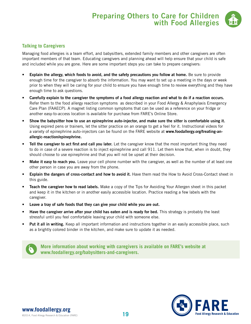

#### **Talking to Caregivers**

Managing food allergies is a team effort, and babysitters, extended family members and other caregivers are often important members of that team. Educating caregivers and planning ahead will help ensure that your child is safe and included while you are gone. Here are some important steps you can take to prepare caregivers:

- Explain the allergy, which foods to avoid, and the safety precautions you follow at home. Be sure to provide enough time for the caregiver to absorb the information. You may want to set up a meeting in the days or week prior to when they will be caring for your child to ensure you have enough time to review everything and they have enough time to ask questions.
- Carefully explain to the caregiver the symptoms of a food allergy reaction and what to do if a reaction occurs. Refer them to the food allergy reaction symptoms as described in your Food Allergy & Anaphylaxis Emergency Care Plan (FAAECP). A magnet listing common symptoms that can be used as a reference on your fridge or another easy-to-access location is available for purchase from FARE's Online Store.
- Show the babysitter how to use an epinephrine auto-injector, and make sure the sitter is comfortable using it. Using expired pens or trainers, let the sitter practice on an orange to get a feel for it. Instructional videos for a variety of epinephrine auto-injectors can be found on the FARE website at www.foodallergy.org/treating-anallergic-reaction/epinephrine.
- Tell the caregiver to act first and call you later. Let the caregiver know that the most important thing they need to do in case of a severe reaction is to inject epinephrine and call 911. Let them know that, when in doubt, they should choose to use epinephrine and that you will not be upset at their decision.
- Make it easy to reach you. Leave your cell phone number with the caregiver, as well as the number of at least one other person in case you are away from the phone.
- Explain the dangers of cross-contact and how to avoid it. Have them read the How to Avoid Cross-Contact sheet in this guide.
- Teach the caregiver how to read labels. Make a copy of the Tips for Avoiding Your Allergen sheet in this packet and keep it in the kitchen or in another easily accessible location. Practice reading a few labels with the caregiver.
- Leave a tray of safe foods that they can give your child while you are out.
- Have the caregiver arrive after your child has eaten and is ready for bed. This strategy is probably the least stressful until you feel comfortable leaving your child with someone else.
- Put it all in writing. Keep all important information and instructions together in an easily accessible place, such as a brightly colored binder in the kitchen, and make sure to update it as needed.



**More information about working with caregivers is available on FARE's website at www.foodallergy.org/babysitters-and-caregivers.**

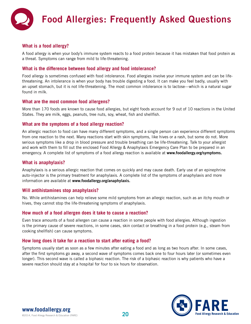# Food Allergies: Frequently Asked Questions

#### **What is a food allergy?**

A food allergy is when your body's immune system reacts to a food protein because it has mistaken that food protein as a threat. Symptoms can range from mild to life-threatening.

#### **What is the difference between food allergy and food intolerance?**

Food allergy is sometimes confused with food intolerance. Food allergies involve your immune system and can be lifethreatening. An intolerance is when your body has trouble digesting a food. It can make you feel badly, usually with an upset stomach, but it is not life-threatening. The most common intolerance is to lactose—which is a natural sugar found in milk.

#### **What are the most common food allergens?**

More than 170 foods are known to cause food allergies, but eight foods account for 9 out of 10 reactions in the United States. They are milk, eggs, peanuts, tree nuts, soy, wheat, fish and shellfish.

#### **What are the symptoms of a food allergy reaction?**

An allergic reaction to food can have many different symptoms, and a single person can experience different symptoms from one reaction to the next. Many reactions start with skin symptoms, like hives or a rash, but some do not. More serious symptoms like a drop in blood pressure and trouble breathing can be life-threatening. Talk to your allergist and work with them to fill out the enclosed Food Allergy & Anaphylaxis Emergency Care Plan to be prepared in an emergency. A complete list of symptoms of a food allergy reaction is available at www.foodallergy.org/symptoms.

#### **What is anaphylaxis?**

Anaphylaxis is a serious allergic reaction that comes on quickly and may cause death. Early use of an epinephrine auto-injector is the primary treatment for anaphylaxis. A complete list of the symptoms of anaphylaxis and more information are available at www.foodallergy.org/anaphylaxis.

#### **Will antihistamines stop anaphylaxis?**

No. While antihistamines can help relieve some mild symptoms from an allergic reaction, such as an itchy mouth or hives, they cannot stop the life-threatening symptoms of anaphylaxis.

#### **How much of a food allergen does it take to cause a reaction?**

Even trace amounts of a food allergen can cause a reaction in some people with food allergies. Although ingestion is the primary cause of severe reactions, in some cases, skin contact or breathing in a food protein (e.g., steam from cooking shellfish) can cause symptoms.

#### **How long does it take for a reaction to start after eating a food?**

Symptoms usually start as soon as a few minutes after eating a food and as long as two hours after. In some cases, after the first symptoms go away, a second wave of symptoms comes back one to four hours later (or sometimes even longer). This second wave is called a biphasic reaction. The risk of a biphasic reaction is why patients who have a severe reaction should stay at a hospital for four to six hours for observation.

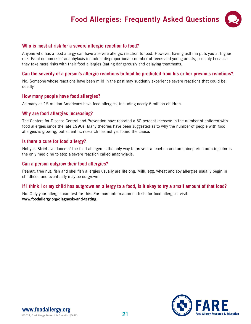## Food Allergies: Frequently Asked Questions



#### **Who is most at risk for a severe allergic reaction to food?**

Anyone who has a food allergy can have a severe allergic reaction to food. However, having asthma puts you at higher risk. Fatal outcomes of anaphylaxis include a disproportionate number of teens and young adults, possibly because they take more risks with their food allergies (eating dangerously and delaying treatment).

#### **Can the severity of a person's allergic reactions to food be predicted from his or her previous reactions?**

No. Someone whose reactions have been mild in the past may suddenly experience severe reactions that could be deadly.

#### **How many people have food allergies?**

As many as 15 million Americans have food allergies, including nearly 6 million children.

#### **Why are food allergies increasing?**

The Centers for Disease Control and Prevention have reported a 50 percent increase in the number of children with food allergies since the late 1990s. Many theories have been suggested as to why the number of people with food allergies is growing, but scientific research has not yet found the cause.

#### **Is there a cure for food allergy?**

Not yet. Strict avoidance of the food allergen is the only way to prevent a reaction and an epinephrine auto-injector is the only medicine to stop a severe reaction called anaphylaxis.

#### **Can a person outgrow their food allergies?**

Peanut, tree nut, fish and shellfish allergies usually are lifelong. Milk, egg, wheat and soy allergies usually begin in childhood and eventually may be outgrown.

#### **If I think I or my child has outgrown an allergy to a food, is it okay to try a small amount of that food?**

No. Only your allergist can test for this. For more information on tests for food allergies, visit www.foodallergy.org/diagnosis-and-testing.

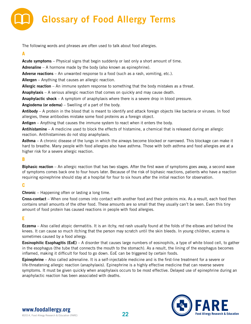Glossary of Food Allergy Terms

The following words and phrases are often used to talk about food allergies.

#### **A**

Acute symptoms – Physical signs that begin suddenly or last only a short amount of time.

**Adrenaline** – A hormone made by the body (also known as epinephrine).

Adverse reactions - An unwanted response to a food (such as a rash, vomiting, etc.).

Allergen – Anything that causes an allergic reaction.

Allergic reaction – An immune system response to something that the body mistakes as a threat.

Anaphylaxis - A serious allergic reaction that comes on quickly and may cause death.

Anaphylactic shock – A symptom of anaphylaxis where there is a severe drop in blood pressure.

Angiodema (or edema) – Swelling of a part of the body.

Antibody – A protein in the blood that is meant to identify and attack foreign objects like bacteria or viruses. In food allergies, these antibodies mistake some food proteins as a foreign object.

Antigen – Anything that causes the immune system to react when it enters the body.

Antihistamine – A medicine used to block the effects of histamine, a chemical that is released during an allergic reaction. Antihistamines do not stop anaphylaxis.

Asthma – A chronic disease of the lungs in which the airways become blocked or narrowed. This blockage can make it hard to breathe. Many people with food allergies also have asthma. Those with both asthma and food allergies are at a higher risk for a severe allergic reaction.

#### **B**

Biphasic reaction – An allergic reaction that has two stages. After the first wave of symptoms goes away, a second wave of symptoms comes back one to four hours later. Because of the risk of biphasic reactions, patients who have a reaction requiring epinephrine should stay at a hospital for four to six hours after the initial reaction for observation.

#### **C**

**Chronic** – Happening often or lasting a long time.

Cross-contact – When one food comes into contact with another food and their proteins mix. As a result, each food then contains small amounts of the other food. These amounts are so small that they usually can't be seen. Even this tiny amount of food protein has caused reactions in people with food allergies.

#### **E**

Eczema – Also called atopic dermatitis. It is an itchy, red rash usually found at the folds of the elbows and behind the knees. It can cause so much itching that the person may scratch until the skin bleeds. In young children, eczema is sometimes caused by a food allergy.

**Eosinophilic Esophagitis (EoE)** – A disorder that causes large numbers of eosinophils, a type of white blood cell, to gather in the esophagus (the tube that connects the mouth to the stomach). As a result, the lining of the esophagus becomes inflamed, making it difficult for food to go down. EoE can be triggered by certain foods.

Epinephrine – Also called adrenaline. It is a self-injectable medicine and is the first-line treatment for a severe or life-threatening allergic reaction (anaphylaxis). Epinephrine is a highly effective medicine that can reverse severe symptoms. It must be given quickly when anaphylaxis occurs to be most effective. Delayed use of epinephrine during an anaphylactic reaction has been associated with deaths.

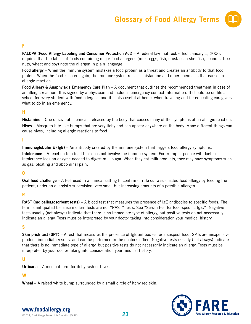Glossary of Food Allergy Terms



#### **F**

FALCPA (Food Allergy Labeling and Consumer Protection Act) – A federal law that took effect January 1, 2006. It requires that the labels of foods containing major food allergens (milk, eggs, fish, crustacean shellfish, peanuts, tree nuts, wheat and soy) note the allergen in plain language.

Food allergy – When the immune system mistakes a food protein as a threat and creates an antibody to that food protein. When the food is eaten again, the immune system releases histamine and other chemicals that cause an allergic reaction.

Food Allergy & Anaphylaxis Emergency Care Plan  $- A$  document that outlines the recommended treatment in case of an allergic reaction. It is signed by a physician and includes emergency contact information. It should be on file at school for every student with food allergies, and it is also useful at home, when traveling and for educating caregivers what to do in an emergency.

#### **H**

Histamine – One of several chemicals released by the body that causes many of the symptoms of an allergic reaction. Hives – Mosquito-bite-like bumps that are very itchy and can appear anywhere on the body. Many different things can cause hives, including allergic reactions to food.

#### **I**

Immunoglobulin E (IgE) – An antibody created by the immune system that triggers food allergy symptoms. Intolerance – A reaction to a food that does not involve the immune system. For example, people with lactose intolerance lack an enzyme needed to digest milk sugar. When they eat milk products, they may have symptoms such as gas, bloating and abdominal pain.

#### **O**

Oral food challenge - A test used in a clinical setting to confirm or rule out a suspected food allergy by feeding the patient, under an allergist's supervision, very small but increasing amounts of a possible allergen.

#### **R**

RAST (radioallergosorbent tests) – A blood test that measures the presence of IgE antibodies to specific foods. The term is antiquated because modern tests are not "RAST" tests. See "Serum test for food-specific IgE." Negative tests usually (not always) indicate that there is no immediate type of allergy, but positive tests do not necessarily indicate an allergy. Tests must be interpreted by your doctor taking into consideration your medical history.

#### **S**

**Skin prick test (SPT)** – A test that measures the presence of  $|gE|$  antibodies for a suspect food. SPTs are inexpensive, produce immediate results, and can be performed in the doctor's office. Negative tests usually (not always) indicate that there is no immediate type of allergy, but positive tests do not necessarily indicate an allergy. Tests must be interpreted by your doctor taking into consideration your medical history.

#### **U**

**Urticaria** – A medical term for itchy rash or hives.

#### **W**

Wheal – A raised white bump surrounded by a small circle of itchy red skin.

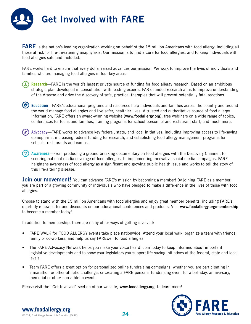

FARE is the nation's leading organization working on behalf of the 15 million Americans with food allergy, including all those at risk for life-threatening anaphylaxis. Our mission is to find a cure for food allergies, and to keep individuals with food allergies safe and included.

FARE works hard to ensure that every dollar raised advances our mission. We work to improve the lives of individuals and families who are managing food allergies in four key areas:

- **Research**—FARE is the world's largest private source of funding for food allergy research. Based on an ambitious strategic plan developed in consultation with leading experts, FARE-funded research aims to improve understanding of the disease and drive the discovery of safe, practical therapies that will prevent potentially fatal reactions.
- **(C) Education**—FARE's educational programs and resources help individuals and families across the country and around the world manage food allergies and live safer, healthier lives. A trusted and authoritative source of food allergy information, FARE offers an award-winning website (www.foodallergy.org), free webinars on a wide range of topics, conferences for teens and families, training programs for school personnel and restaurant staff, and much more.
- **Advocacy**—FARE works to advance key federal, state, and local initiatives, including improving access to life-saving epinephrine, increasing federal funding for research, and establishing food allergy management programs for schools, restaurants and camps.
- **Awareness**—From producing a ground breaking documentary on food allergies with the Discovery Channel, to securing national media coverage of food allergies, to implementing innovative social media campaigns, FARE heightens awareness of food allergy as a significant and growing public health issue and works to tell the story of this life-altering disease.

Join our movement! You can advance FARE's mission by becoming a member! By joining FARE as a member, you are part of a growing community of individuals who have pledged to make a difference in the lives of those with food allergies.

Choose to stand with the 15 million Americans with food allergies and enjoy great member benefits, including FARE's quarterly e-newsletter and discounts on our educational conferences and products. Visit www.foodallergy.org/membership to become a member today!

In addition to membership, there are many other ways of getting involved:

- FARE WALK for FOOD ALLERGY events take place nationwide. Attend your local walk, organize a team with friends, family or co-workers, and help us say FAREwell to food allergies!
- The FARE Advocacy Network helps you make your voice heard! Join today to keep informed about important legislative developments and to show your legislators you support life-saving initiatives at the federal, state and local levels.
- Team FARE offers a great option for personalized online fundraising campaigns, whether you are participating in a marathon or other athletic challenge, or creating a FARE personal fundraising event for a birthday, anniversary, memorial or other non-athletic event.

Please visit the "Get Involved" section of our website, www.foodallergy.org, to learn more!

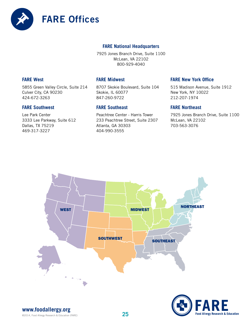

#### **FARE National Headquarters**

7925 Jones Branch Drive, Suite 1100 McLean, VA 22102 800-929-4040

#### **FARE West**

5855 Green Valley Circle, Suite 214 Culver City, CA 90230 424-672-3263

#### **FARE Southwest**

Lee Park Center 3333 Lee Parkway, Suite 612 Dallas, TX 75219 469-317-3227

#### **FARE Midwest**

8707 Skokie Boulevard, Suite 104 Skokie, IL 60077 847-260-9722

#### **FARE Southeast**

Peachtree Center - Harris Tower 233 Peachtree Street, Suite 2307 Atlanta, GA 30303 404-990-3555

#### **FARE New York Office**

515 Madison Avenue, Suite 1912 New York, NY 10022 212-207-1974

#### **FARE Northeast**

7925 Jones Branch Drive, Suite 1100 McLean, VA 22102 703-563-3076

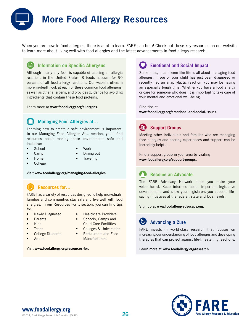

When you are new to food allergies, there is a lot to learn. FARE can help! Check out these key resources on our website to learn more about living well with food allergies and the latest advancements in food allergy research.

#### **Information on Specific Allergens** (E)

Although nearly any food is capable of causing an allergic reaction, in the United States, 8 foods account for 90 percent of all food allergy reactions. Our website offers a more in-depth look at each of these common food allergens, as well as other allergens, and provides guidance for avoiding ingredients that contain these food proteins.

Learn more at www.foodallergy.org/allergens.

#### ה־ח **Managing Food Allergies at…**

Learning how to create a safe environment is important. In our Managing Food Allergies At… section, you'll find resources about making these environments safe and inclusive:

- School
- Work
- Camp
- Dining out

**Traveling** 

- Home
- College

Visit www.foodallergy.org/managing-food-allergies.

#### **Resources for…**

FARE has a variety of resources designed to help individuals, families and communities stay safe and live well with food allergies. In our Resources For… section, you can find tips for:

- Newly Diagnosed
- Parents

**Adults** 

- Kids
- **Teens**
- College Students
	-
- Healthcare Providers
- Schools, Camps and Child Care Facilities
- Colleges & Universities
- Restaurants and Food **Manufacturers**

#### Visit www.foodallergy.org/resources-for.

## **Advancing a Cure**

FARE invests in world-class research that focuses on increasing our understanding of food allergies and developing therapies that can protect against life-threatening reactions.

Learn more at www.foodallergy.org/research.



©2014, Food Allergy Research & Education (FARE) **www.foodallergy.org**<br> **26 28 2014** Food Allergy Research & Education (FARE)



#### **Emotional and Social Impact**

Sometimes, it can seem like life is all about managing food allergies. If you or your child has just been diagnosed or recently had an anaphylactic reaction, you may be having an especially tough time. Whether you have a food allergy or care for someone who does, it is important to take care of your mental and emotional well-being.

Find tips at www.foodallergy.org/emotional-and-social-issues.

#### 50 **Support Groups**

Meeting other individuals and families who are managing food allergies and sharing experiences and support can be incredibly helpful.

Find a support group in your area by visiting www.foodallergy.org/support-groups.

#### **Become an Advocate**

The FARE Advocacy Network helps you make your voice heard. Keep informed about important legislative developments and show your legislators you support lifesaving initiatives at the federal, state and local levels.

Sign up at www.foodallergyadvocacy.org.